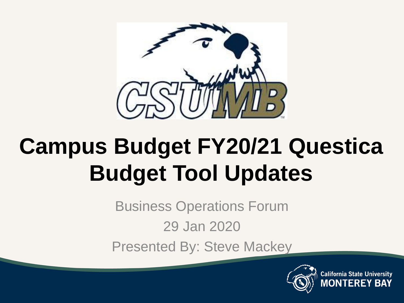

# **Campus Budget FY20/21 Questica Budget Tool Updates**

Business Operations Forum

29 Jan 2020

Presented By: Steve Mackey

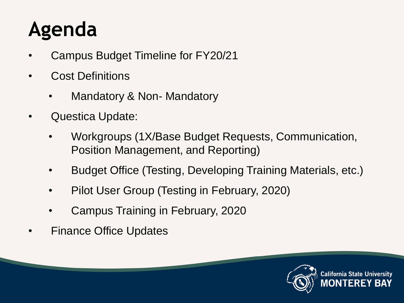### **Agenda**

- Campus Budget Timeline for FY20/21
- Cost Definitions
	- Mandatory & Non- Mandatory
- Questica Update:
	- Workgroups (1X/Base Budget Requests, Communication, Position Management, and Reporting)
	- Budget Office (Testing, Developing Training Materials, etc.)
	- Pilot User Group (Testing in February, 2020)
	- Campus Training in February, 2020
- Finance Office Updates

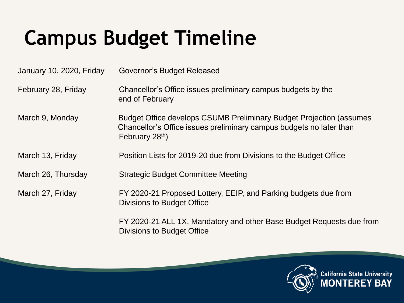## **Campus Budget Timeline**

| January 10, 2020, Friday | Governor's Budget Released                                                                                                                                                |
|--------------------------|---------------------------------------------------------------------------------------------------------------------------------------------------------------------------|
| February 28, Friday      | Chancellor's Office issues preliminary campus budgets by the<br>end of February                                                                                           |
| March 9, Monday          | Budget Office develops CSUMB Preliminary Budget Projection (assumes<br>Chancellor's Office issues preliminary campus budgets no later than<br>February 28 <sup>th</sup> ) |
| March 13, Friday         | Position Lists for 2019-20 due from Divisions to the Budget Office                                                                                                        |
| March 26, Thursday       | <b>Strategic Budget Committee Meeting</b>                                                                                                                                 |
| March 27, Friday         | FY 2020-21 Proposed Lottery, EEIP, and Parking budgets due from<br>Divisions to Budget Office                                                                             |
|                          | FY 2020-21 ALL 1X, Mandatory and other Base Budget Requests due from<br>Divisions to Budget Office                                                                        |



**California State University**<br>**MONTEREY BAY**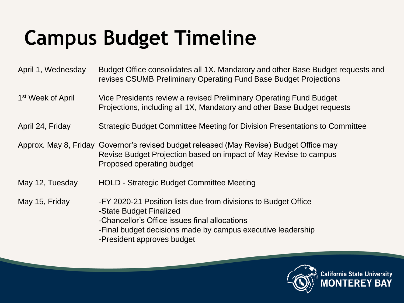## **Campus Budget Timeline**

April 1, Wednesday Budget Office consolidates all 1X, Mandatory and other Base Budget requests and revises CSUMB Preliminary Operating Fund Base Budget Projections

1<sup>st</sup> Week of April Vice Presidents review a revised Preliminary Operating Fund Budget Projections, including all 1X, Mandatory and other Base Budget requests

April 24, Friday Strategic Budget Committee Meeting for Division Presentations to Committee

Approx. May 8, Friday Governor's revised budget released (May Revise) Budget Office may Revise Budget Projection based on impact of May Revise to campus Proposed operating budget

May 12, Tuesday HOLD - Strategic Budget Committee Meeting

May 15, Friday -FY 2020-21 Position lists due from divisions to Budget Office

- -State Budget Finalized
- -Chancellor's Office issues final allocations
- -Final budget decisions made by campus executive leadership
- -President approves budget

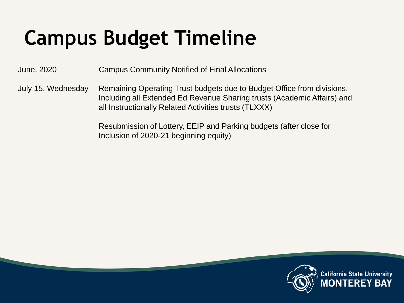## **Campus Budget Timeline**

June, 2020 Campus Community Notified of Final Allocations

July 15, Wednesday Remaining Operating Trust budgets due to Budget Office from divisions, Including all Extended Ed Revenue Sharing trusts (Academic Affairs) and all Instructionally Related Activities trusts (TLXXX)

> Resubmission of Lottery, EEIP and Parking budgets (after close for Inclusion of 2020-21 beginning equity)

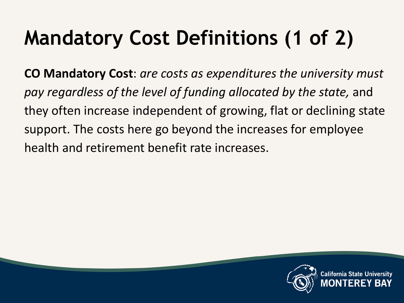# **Mandatory Cost Definitions (1 of 2)**

**CO Mandatory Cost**: *are costs as expenditures the university must pay regardless of the level of funding allocated by the state,* and they often increase independent of growing, flat or declining state support. The costs here go beyond the increases for employee health and retirement benefit rate increases.

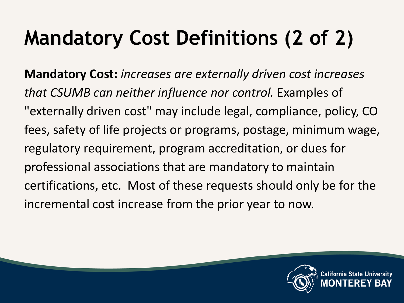## **Mandatory Cost Definitions (2 of 2)**

**Mandatory Cost:** *increases are externally driven cost increases that CSUMB can neither influence nor control.* Examples of "externally driven cost" may include legal, compliance, policy, CO fees, safety of life projects or programs, postage, minimum wage, regulatory requirement, program accreditation, or dues for professional associations that are mandatory to maintain certifications, etc. Most of these requests should only be for the incremental cost increase from the prior year to now.

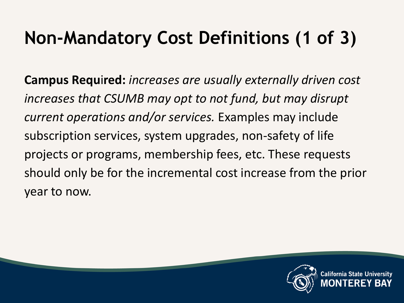#### **Non-Mandatory Cost Definitions (1 of 3)**

**Campus Requ**i**red:** *increases are usually externally driven cost increases that CSUMB may opt to not fund, but may disrupt current operations and/or services.* Examples may include subscription services, system upgrades, non-safety of life projects or programs, membership fees, etc. These requests should only be for the incremental cost increase from the prior year to now.

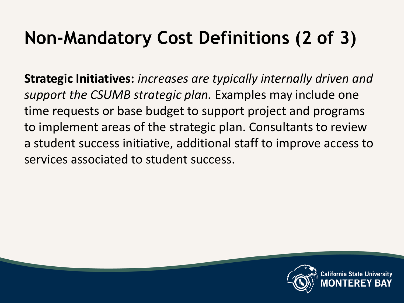#### **Non-Mandatory Cost Definitions (2 of 3)**

**Strategic Initiatives:** *increases are typically internally driven and support the CSUMB strategic plan.* Examples may include one time requests or base budget to support project and programs to implement areas of the strategic plan. Consultants to review a student success initiative, additional staff to improve access to services associated to student success.

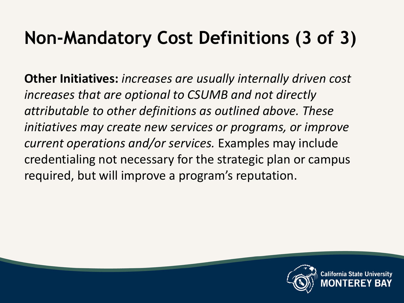#### **Non-Mandatory Cost Definitions (3 of 3)**

**Other Initiatives:** *increases are usually internally driven cost increases that are optional to CSUMB and not directly attributable to other definitions as outlined above. These initiatives may create new services or programs, or improve current operations and/or services.* Examples may include credentialing not necessary for the strategic plan or campus required, but will improve a program's reputation.



fornia State Un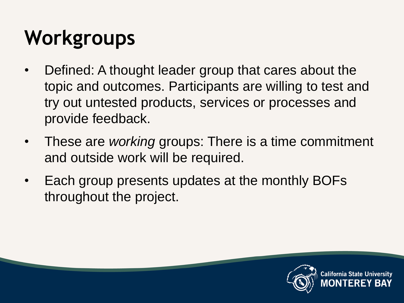## **Workgroups**

- Defined: A thought leader group that cares about the topic and outcomes. Participants are willing to test and try out untested products, services or processes and provide feedback.
- These are *working* groups: There is a time commitment and outside work will be required.
- Each group presents updates at the monthly BOFs throughout the project.



California State Univ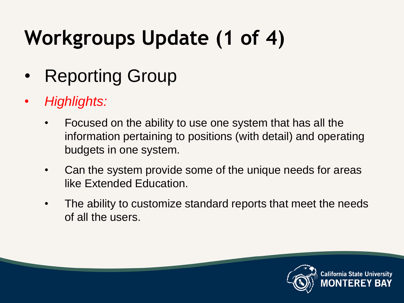## **Workgroups Update (1 of 4)**

- Reporting Group
- *Highlights:*
	- Focused on the ability to use one system that has all the information pertaining to positions (with detail) and operating budgets in one system.
	- Can the system provide some of the unique needs for areas like Extended Education.
	- The ability to customize standard reports that meet the needs of all the users.

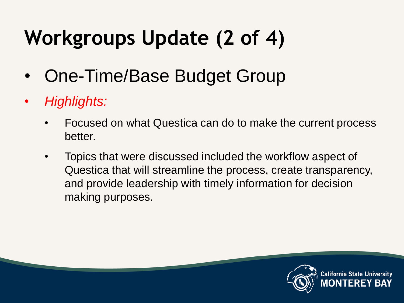## **Workgroups Update (2 of 4)**

- One-Time/Base Budget Group
- *Highlights:*
	- Focused on what Questica can do to make the current process better.
	- Topics that were discussed included the workflow aspect of Questica that will streamline the process, create transparency, and provide leadership with timely information for decision making purposes.

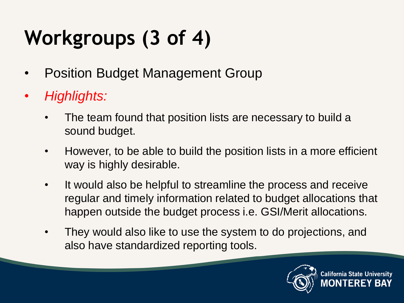# **Workgroups (3 of 4)**

- Position Budget Management Group
- *Highlights:*
	- The team found that position lists are necessary to build a sound budget.
	- However, to be able to build the position lists in a more efficient way is highly desirable.
	- It would also be helpful to streamline the process and receive regular and timely information related to budget allocations that happen outside the budget process i.e. GSI/Merit allocations.
	- They would also like to use the system to do projections, and also have standardized reporting tools.

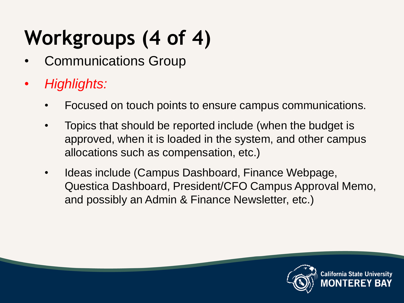# **Workgroups (4 of 4)**

- Communications Group
- *Highlights:*
	- Focused on touch points to ensure campus communications.
	- Topics that should be reported include (when the budget is approved, when it is loaded in the system, and other campus allocations such as compensation, etc.)
	- Ideas include (Campus Dashboard, Finance Webpage, Questica Dashboard, President/CFO Campus Approval Memo, and possibly an Admin & Finance Newsletter, etc.)

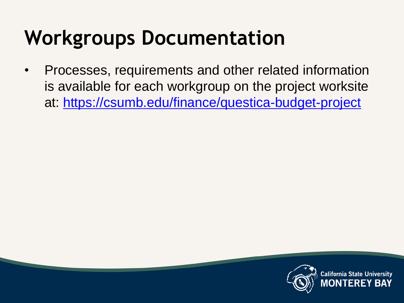### **Workgroups Documentation**

• Processes, requirements and other related information is available for each workgroup on the project worksite at:<https://csumb.edu/finance/questica-budget-project>

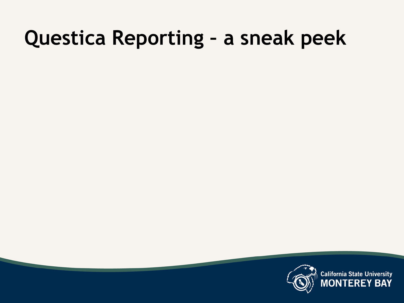#### **Questica Reporting – a sneak peek**



**California State University**<br>MONTEREY BAY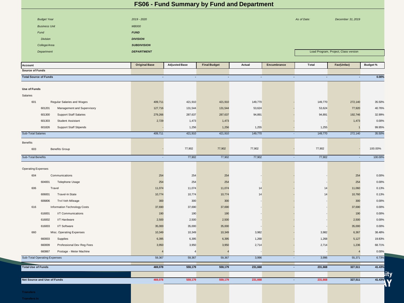| FS06 - Fund Summary by Fund and Department |                          |                      |                                  |                |             |         |                |                                      |  |  |  |
|--------------------------------------------|--------------------------|----------------------|----------------------------------|----------------|-------------|---------|----------------|--------------------------------------|--|--|--|
| <b>Budget Year</b>                         | 2019 - 2020              |                      | As of Date:<br>December 31, 2019 |                |             |         |                |                                      |  |  |  |
| <b>Business Unit</b>                       | <b>MB000</b>             |                      |                                  |                |             |         |                |                                      |  |  |  |
| Fund                                       | <b>FUND</b>              |                      |                                  |                |             |         |                |                                      |  |  |  |
| <b>Division</b>                            | <b>DIVISION</b>          |                      |                                  |                |             |         |                |                                      |  |  |  |
| College/Area                               | <b>SUBDIVISION</b>       |                      |                                  |                |             |         |                |                                      |  |  |  |
| Department                                 | <b>DEPARTMENT</b>        |                      |                                  |                |             |         |                | Load Program, Project, Class version |  |  |  |
|                                            |                          |                      |                                  |                |             |         |                |                                      |  |  |  |
| Account                                    | <b>Original Base</b>     | <b>Adjusted Base</b> | <b>Final Budget</b>              | Actual         | Encumbrance | Total   | Fav(Unfav)     | <b>Budget %</b>                      |  |  |  |
| <b>Source of Funds</b>                     |                          |                      |                                  |                |             |         |                |                                      |  |  |  |
| <b>Total Source of Funds</b>               | $\blacksquare$           | $\blacksquare$       | $\blacksquare$                   | $\blacksquare$ | ÷           | ÷,      | $\blacksquare$ | 0.00%                                |  |  |  |
| <b>Use of Funds</b>                        |                          |                      |                                  |                |             |         |                |                                      |  |  |  |
| Salaries                                   |                          |                      |                                  |                |             |         |                |                                      |  |  |  |
| 601<br>Regular Salaries and Wages          | 409,711                  | 421,910              | 421,910                          | 149,770        |             | 149,770 | 272,140        | 35.50%                               |  |  |  |
| 601201<br>Management and Supervisory       | 127,716                  | 131,544              | 131,544                          | 53,624         |             | 53,624  | 77,920         | 40.76%                               |  |  |  |
| 601300<br><b>Support Staff Salaries</b>    | 279,266                  | 287,637              | 287,637                          | 94,891         |             | 94,891  | 192,746        | 32.99%                               |  |  |  |
| 601303<br>Student Assistant                | 2,729                    | 1,473                | 1,473                            |                |             |         | 1,473          | 0.00%                                |  |  |  |
| 601826<br><b>Support Staff Stipends</b>    |                          | 1,256                | 1,256                            | 1,255          |             | 1,255   |                | 99.95%                               |  |  |  |
| Sub-Total Salaries                         | 409,711                  | 421,910              | 421,910                          | 149,770        | $\sim$      | 149,770 | 272,140        | 35.50%                               |  |  |  |
|                                            |                          |                      |                                  |                |             |         |                |                                      |  |  |  |
| Benefits                                   |                          |                      |                                  |                |             |         |                |                                      |  |  |  |
| 603<br><b>Benefits Group</b>               |                          | 77,902               | 77,902                           | 77,902         |             | 77,902  |                | 100.00%                              |  |  |  |
| Sub-Total Benefits                         | $\sim$                   | 77,902               | 77,902                           | 77,902         | ۰.          | 77,902  | $\sim$         | 100.00%                              |  |  |  |
| <b>Operating Expenses</b>                  |                          |                      |                                  |                |             |         |                |                                      |  |  |  |
| Communications<br>604                      | 254                      | 254                  | 254                              |                |             |         | 254            | 0.00%                                |  |  |  |
| 604001<br>Telephone Usage                  | 254                      | 254                  | 254                              |                |             |         | 254            | 0.00%                                |  |  |  |
| 606<br>Travel                              | 11,074                   | 11,074               | 11,074                           | 14             |             | 14      | 11,060         | 0.13%                                |  |  |  |
| 606001<br>Travel-In State                  | 10,774                   | 10,774               | 10,774                           | 14             |             | 14      | 10,760         | 0.13%                                |  |  |  |
| 606806<br>Trvl Veh Mileage                 | 300                      | 300                  | 300                              |                |             |         | 300            | 0.00%                                |  |  |  |
| 616<br>Information Technology Costs        | 37,690                   | 37,690               | 37,690                           |                |             |         | 37,690         | 0.00%                                |  |  |  |
| 616001<br>I/T Communications               | 190                      | 190                  | 190                              |                |             |         | 190            | 0.00%                                |  |  |  |
| 616002<br>I/T Hardware                     | 2,500                    | 2,500                | 2,500                            |                |             |         | 2,500          | 0.00%                                |  |  |  |
| 616003<br>I/T Software                     | 35,000                   | 35,000               | 35,000                           |                |             |         | 35,000         | 0.00%                                |  |  |  |
| Misc. Operating Expenses<br>660            | 10,349                   | 10,349               | 10,349                           | 3,982          |             | 3,982   | 6,367          | 38.48%                               |  |  |  |
| 660003<br>Supplies                         | 6,395                    | 6,395                | 6,395                            | 1,268          |             | 1,268   | 5,127          | 19.83%                               |  |  |  |
| 660009<br>Professional Dev Reg Fees        | 3,950                    | 3,950                | 3,950                            | 2,714          |             | 2,714   | 1,236          | 68.71%                               |  |  |  |
| 660867<br>Postage - Meter Machine          | $\overline{\phantom{a}}$ | $\overline{4}$       |                                  |                |             |         | $\overline{4}$ | 0.00%                                |  |  |  |
| Sub-Total Operating Expenses               | 59,367                   | 59,367               | 59,367                           | 3,996          | ÷.          | 3,996   | 55,371         | 6.73%                                |  |  |  |
| <b>Total Use of Funds</b>                  | 469,078                  | 559,179              | 559,179                          | 231,668        | $\sim$      | 231,668 | 327,511        | 41.43%                               |  |  |  |
|                                            |                          |                      |                                  |                |             |         |                |                                      |  |  |  |
| <b>Net Source and Use of Funds</b>         | 469,078                  | 559,179              | 559,179                          | 231,668        | $\sim$      | 231,668 | 327,511        | 41.43%                               |  |  |  |
|                                            |                          |                      |                                  |                |             |         |                |                                      |  |  |  |
|                                            |                          |                      |                                  |                |             |         |                |                                      |  |  |  |

**Transfers In**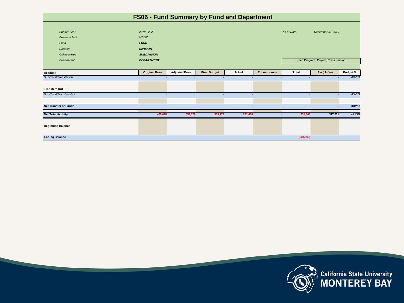| FS06 - Fund Summary by Fund and Department |                      |                          |                     |                          |                          |                               |                                      |                 |
|--------------------------------------------|----------------------|--------------------------|---------------------|--------------------------|--------------------------|-------------------------------|--------------------------------------|-----------------|
|                                            |                      |                          |                     |                          |                          |                               |                                      |                 |
| <b>Budget Year</b>                         | 2019 - 2020          |                          |                     |                          |                          | As of Date:                   | December 31, 2019                    |                 |
| <b>Business Unit</b>                       | <b>MB000</b>         |                          |                     |                          |                          |                               |                                      |                 |
| Fund                                       | <b>FUND</b>          |                          |                     |                          |                          |                               |                                      |                 |
| <b>Division</b>                            | <b>DIVISION</b>      |                          |                     |                          |                          |                               |                                      |                 |
| College/Area                               | <b>SUBDIVISION</b>   |                          |                     |                          |                          |                               |                                      |                 |
| Department                                 | <b>DEPARTMENT</b>    |                          |                     |                          |                          |                               | Load Program, Project, Class version |                 |
|                                            |                      |                          |                     |                          |                          |                               |                                      |                 |
| Account                                    | <b>Original Base</b> | <b>Adjusted Base</b>     | <b>Final Budget</b> | Actual                   | Encumbrance              | Total                         | Fav(Unfav)                           | <b>Budget %</b> |
| Sub-Total Transfers In                     | ×.                   | $\overline{\phantom{a}}$ | ×.                  | $\overline{\phantom{a}}$ | $\overline{\phantom{a}}$ | ж.                            |                                      | #DIV/0!         |
|                                            |                      |                          |                     |                          |                          |                               |                                      |                 |
| <b>Transfers Out</b>                       |                      |                          |                     |                          |                          |                               |                                      |                 |
| <b>Sub-Total Transfers Out</b>             | ٠                    | $\sim$                   | ×.                  | $\overline{\phantom{a}}$ |                          | $\overline{\phantom{a}}$<br>٠ |                                      | #DIV/0!         |
|                                            |                      |                          |                     |                          |                          |                               |                                      |                 |
| <b>Net Transfer of Funds</b>               | н.                   | $\blacksquare$           | $\sim$              | ٠                        |                          | $\blacksquare$<br>÷.          | ×.                                   | #DIV/0!         |
| <b>Net Total Activity</b>                  | 469,078              | 559,179                  | 559,179             | 231,668                  |                          | 231,668<br>٠                  | 327,511                              | 41.43%          |
|                                            |                      |                          |                     |                          |                          |                               |                                      |                 |
| <b>Beginning Balance</b>                   |                      |                          |                     |                          |                          | ۰                             |                                      |                 |
|                                            |                      |                          |                     |                          |                          |                               |                                      |                 |
| <b>Ending Balance</b>                      |                      |                          |                     |                          |                          | (231, 668)                    |                                      |                 |



California State University<br>(X) MONTEREY BAY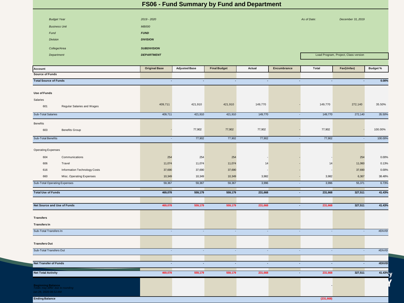| FS06 - Fund Summary by Fund and Department                                             |                             |                          |                     |                |                          |                                      |                          |                 |
|----------------------------------------------------------------------------------------|-----------------------------|--------------------------|---------------------|----------------|--------------------------|--------------------------------------|--------------------------|-----------------|
|                                                                                        |                             |                          |                     |                |                          |                                      |                          |                 |
| <b>Budget Year</b>                                                                     | 2019 - 2020                 |                          |                     |                |                          | As of Date:                          | December 31, 2019        |                 |
| <b>Business Unit</b>                                                                   | <b>MB000</b>                |                          |                     |                |                          |                                      |                          |                 |
| Fund                                                                                   | <b>FUND</b>                 |                          |                     |                |                          |                                      |                          |                 |
| <b>Division</b>                                                                        | <b>DIVISION</b>             |                          |                     |                |                          |                                      |                          |                 |
| College/Area                                                                           | <b>SUBDIVISION</b>          |                          |                     |                |                          |                                      |                          |                 |
| Department                                                                             | <b>DEPARTMENT</b>           |                          |                     |                |                          | Load Program, Project, Class version |                          |                 |
| Account                                                                                | <b>Original Base</b>        | <b>Adjusted Base</b>     | <b>Final Budget</b> | Actual         | Encumbrance              | Total                                | Fav(Unfav)               | <b>Budget %</b> |
| <b>Source of Funds</b>                                                                 |                             |                          |                     |                |                          |                                      |                          |                 |
| <b>Total Source of Funds</b>                                                           | $\blacksquare$              | $\blacksquare$           | $\blacksquare$      | $\sim$         | $\sim$                   | $\sim$                               | $\blacksquare$           | 0.00%           |
|                                                                                        |                             |                          |                     |                |                          |                                      |                          |                 |
| <b>Use of Funds</b>                                                                    |                             |                          |                     |                |                          |                                      |                          |                 |
| Salaries                                                                               |                             |                          |                     |                |                          |                                      |                          |                 |
| 601<br>Regular Salaries and Wages                                                      | 409,711                     | 421,910                  | 421,910             | 149,770        |                          | 149,770                              | 272,140                  | 35.50%          |
| <b>Sub-Total Salaries</b>                                                              | 409,711                     | 421,910                  | 421,910             | 149,770        | $\sim$                   | 149,770                              | 272,140                  | 35.50%          |
| <b>Benefits</b>                                                                        |                             |                          |                     |                |                          |                                      |                          |                 |
| 603<br><b>Benefits Group</b>                                                           |                             | 77,902                   | 77,902              | 77,902         |                          | 77,902                               |                          | 100.00%         |
| Sub-Total Benefits                                                                     | $\mathcal{L}_{\mathcal{A}}$ | 77,902                   | 77,902              | 77,902         | $\sim$                   | 77,902                               | $\overline{\phantom{a}}$ | 100.00%         |
| <b>Operating Expenses</b>                                                              |                             |                          |                     |                |                          |                                      |                          |                 |
| Communications<br>604                                                                  | 254                         | 254                      | 254                 |                |                          |                                      | 254                      | 0.00%           |
| 606<br>Travel                                                                          | 11,074                      | 11,074                   | 11,074              | 14             |                          | 14                                   | 11,060                   | 0.13%           |
| 616<br>Information Technology Costs                                                    | 37,690                      | 37,690                   | 37,690              |                |                          |                                      | 37,690                   | 0.00%           |
| 660<br>Misc. Operating Expenses                                                        | 10,349                      | 10,349                   | 10,349              | 3,982          |                          | 3,982                                | 6,367                    | 38.48%          |
| <b>Sub-Total Operating Expenses</b>                                                    | 59,367                      | 59,367                   | 59,367              | 3,996          | $\overline{\phantom{a}}$ | 3,996                                | 55,371                   | 6.73%           |
| <b>Total Use of Funds</b>                                                              | 469,078                     | 559,179                  | 559,179             | 231,668        | $\blacksquare$           | 231,668                              | 327,511                  | 41.43%          |
|                                                                                        |                             |                          |                     |                |                          |                                      |                          |                 |
| Net Source and Use of Funds                                                            | 469,078                     | 559,179                  | 559,179             | 231,668        | $\blacksquare$           | 231,668                              | 327,511                  | 41.43%          |
| Transfers                                                                              |                             |                          |                     |                |                          |                                      |                          |                 |
| <b>Transfers In</b>                                                                    |                             |                          |                     |                |                          |                                      |                          |                 |
| Sub-Total Transfers In                                                                 | ÷                           | $\sim$                   | ÷.                  | $\sim$         | $\sim$                   | $\sim$                               | $\overline{\phantom{a}}$ | #DIV/0!         |
|                                                                                        |                             |                          |                     |                |                          |                                      |                          |                 |
| <b>Transfers Out</b>                                                                   |                             |                          |                     |                |                          |                                      |                          |                 |
| Sub-Total Transfers Out                                                                | $\sim$                      | $\sim$                   | $\sim$              | $\sim$         | $\sim$                   | $\sim$                               | $\sim$                   | #DIV/0!         |
|                                                                                        |                             |                          |                     |                |                          |                                      |                          |                 |
| <b>Net Transfer of Funds</b>                                                           | $\blacksquare$              | $\overline{\phantom{a}}$ | $\blacksquare$      | $\blacksquare$ | $\blacksquare$           | $\sim$                               | $\blacksquare$           | #DIV/0!         |
| <b>Net Total Activity</b>                                                              | 469,078                     | 559,179                  | 559,179             | 231,668        | $\sim$                   | 231,668                              | 327,511                  | 41.43%          |
|                                                                                        |                             |                          |                     |                |                          |                                      |                          |                 |
| <b>Beginning Balance</b><br>Totals may differ due to rounding<br>Jan 29, 2020 08:52 AM |                             |                          |                     |                |                          |                                      |                          |                 |
| <b>Ending Balance</b>                                                                  |                             |                          |                     |                |                          | (231, 668)                           |                          |                 |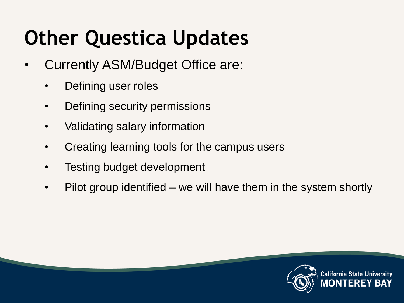## **Other Questica Updates**

- Currently ASM/Budget Office are:
	- Defining user roles
	- Defining security permissions
	- Validating salary information
	- Creating learning tools for the campus users
	- Testing budget development
	- Pilot group identified we will have them in the system shortly

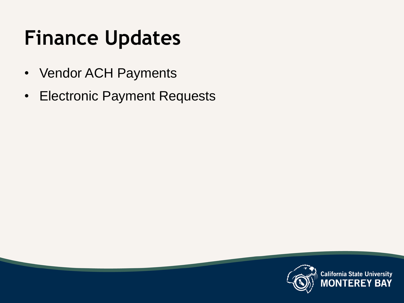## **Finance Updates**

- Vendor ACH Payments
- Electronic Payment Requests

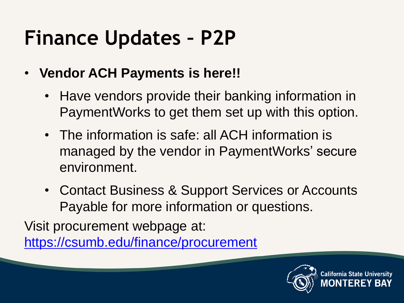## **Finance Updates – P2P**

- **Vendor ACH Payments is here!!**
	- Have vendors provide their banking information in PaymentWorks to get them set up with this option.
	- The information is safe: all ACH information is managed by the vendor in PaymentWorks' secure environment.
	- Contact Business & Support Services or Accounts Payable for more information or questions.

Visit procurement webpage at:

<https://csumb.edu/finance/procurement>

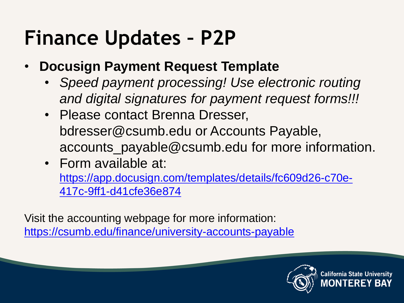### **Finance Updates – P2P**

- **Docusign Payment Request Template**
	- *Speed payment processing! Use electronic routing and digital signatures for payment request forms!!!*
	- Please contact Brenna Dresser, bdresser@csumb.edu or Accounts Payable, accounts\_payable@csumb.edu for more information.
	- Form available at: [https://app.docusign.com/templates/details/fc609d26-c70e-](https://app.docusign.com/templates/details/fc609d26-c70e-417c-9ff1-d41cfe36e874)[417c-9ff1-d41cfe36e874](https://app.docusign.com/templates/details/fc609d26-c70e-417c-9ff1-d41cfe36e874)

Visit the accounting webpage for more information: <https://csumb.edu/finance/university-accounts-payable>